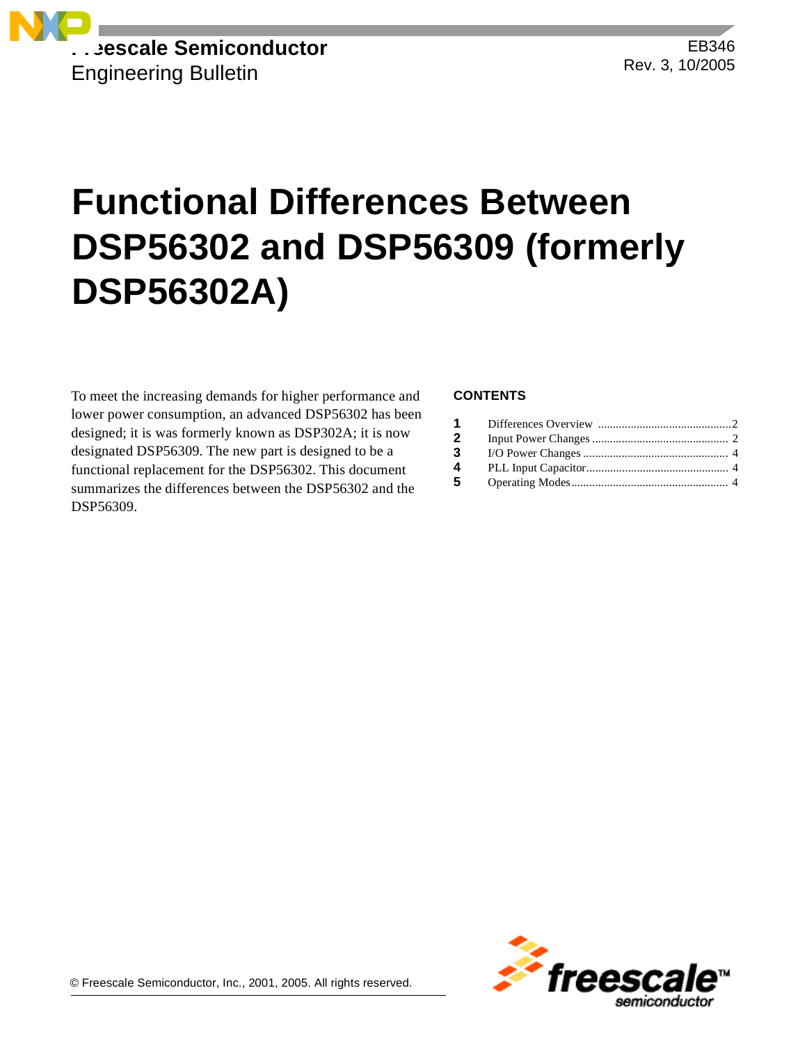

EB346 Rev. 3, 10/2005

# **Functional Differences Between DSP56302 and DSP56309 (formerly DSP56302A)**

To meet the increasing demands for higher performance and lower power consumption, an advanced DSP56302 has been designed; it is was formerly known as DSP302A; it is now designated DSP56309. The new part is designed to be a functional replacement for the DSP56302. This document summarizes the differences between the DSP56302 and the DSP56309.

### **CONTENTS**

| $\mathbf 1$  |  |
|--------------|--|
| $\mathbf{2}$ |  |
| 3            |  |
| 4            |  |
| 5            |  |

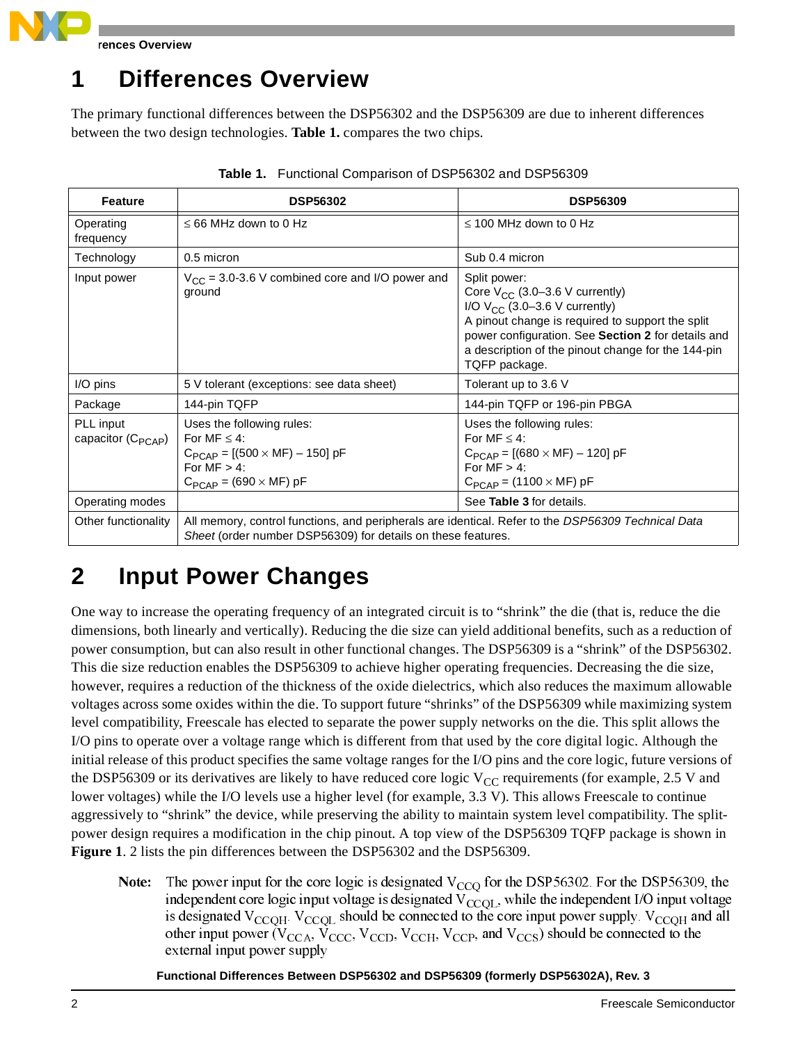

**rences Overview** 

# **1 Differences Overview**

The primary functional differences between the DSP56302 and the DSP56309 are due to inherent differences between the two design technologies. **[Table 1.](#page-1-0)** compares the two chips.

<span id="page-1-0"></span>

| <b>Feature</b>                              | <b>DSP56302</b>                                                                                                                                                    | <b>DSP56309</b>                                                                                                                                                                                                                                                            |  |  |
|---------------------------------------------|--------------------------------------------------------------------------------------------------------------------------------------------------------------------|----------------------------------------------------------------------------------------------------------------------------------------------------------------------------------------------------------------------------------------------------------------------------|--|--|
| Operating<br>frequency                      | $\leq$ 66 MHz down to 0 Hz                                                                                                                                         | $<$ 100 MHz down to 0 Hz                                                                                                                                                                                                                                                   |  |  |
| Technology                                  | 0.5 micron                                                                                                                                                         | Sub 0.4 micron                                                                                                                                                                                                                                                             |  |  |
| Input power                                 | $V_{CC}$ = 3.0-3.6 V combined core and I/O power and<br>ground                                                                                                     | Split power:<br>Core $V_{CC}$ (3.0–3.6 V currently)<br>I/O $V_{CC}$ (3.0–3.6 V currently)<br>A pinout change is required to support the split<br>power configuration. See Section 2 for details and<br>a description of the pinout change for the 144-pin<br>TQFP package. |  |  |
| I/O pins                                    | 5 V tolerant (exceptions: see data sheet)                                                                                                                          | Tolerant up to 3.6 V                                                                                                                                                                                                                                                       |  |  |
| Package                                     | 144-pin TQFP                                                                                                                                                       | 144-pin TQFP or 196-pin PBGA                                                                                                                                                                                                                                               |  |  |
| PLL input<br>capacitor (C <sub>PCAP</sub> ) | Uses the following rules:<br>For MF $\leq$ 4:<br>$C_{PCAP} = [(500 \times MF) - 150] pF$<br>For $MF > 4$ :<br>$C_{PCAP}$ = (690 $\times$ MF) pF                    | Uses the following rules:<br>For MF $\leq$ 4:<br>$C_{PCAP} = [(680 \times MF) - 120] pF$<br>For $MF > 4$ :<br>$C_{PCAP}$ = (1100 $\times$ MF) pF                                                                                                                           |  |  |
| Operating modes                             |                                                                                                                                                                    | See Table 3 for details.                                                                                                                                                                                                                                                   |  |  |
| Other functionality                         | All memory, control functions, and peripherals are identical. Refer to the DSP56309 Technical Data<br>Sheet (order number DSP56309) for details on these features. |                                                                                                                                                                                                                                                                            |  |  |

**Table 1.** Functional Comparison of DSP56302 and DSP56309

### <span id="page-1-1"></span>**2 Input Power Changes**

One way to increase the operating frequency of an integrated circuit is to "shrink" the die (that is, reduce the die dimensions, both linearly and vertically). Reducing the die size can yield additional benefits, such as a reduction of power consumption, but can also result in other functional changes. The DSP56309 is a "shrink" of the DSP56302. This die size reduction enables the DSP56309 to achieve higher operating frequencies. Decreasing the die size, however, requires a reduction of the thickness of the oxide dielectrics, which also reduces the maximum allowable voltages across some oxides within the die. To support future "shrinks" of the DSP56309 while maximizing system level compatibility, Freescale has elected to separate the power supply networks on the die. This split allows the I/O pins to operate over a voltage range which is different from that used by the core digital logic. Although the initial release of this product specifies the same voltage ranges for the I/O pins and the core logic, future versions of the DSP56309 or its derivatives are likely to have reduced core logic  $V_{CC}$  requirements (for example, 2.5 V and lower voltages) while the I/O levels use a higher level (for example, 3.3 V). This allows Freescale to continue aggressively to "shrink" the device, while preserving the ability to maintain system level compatibility. The splitpower design requires a modification in the chip pinout. A top view of the DSP56309 TQFP package is shown in **[Figure 1](#page-2-0)**. [2](#page-2-1) lists the pin differences between the DSP56302 and the DSP56309.

Note: e: The power input for the core logic is designated  $V_{CCQ}$  for the DSP56302. For the DSP56309, the independent core logic input voltage is designated  $V_{\rm CCQL}$ , while the independent I/O input voltage is designated  $V_{\text{CCQH}}$   $V_{\text{CCQL}}$  should be connected to the core input power supply.  $V_{\text{CCQH}}$  and all other input power (V<sub>CCA</sub>, V<sub>CCC</sub>, V<sub>CCD</sub>, V<sub>CCH</sub>, V<sub>CCP</sub>, and V<sub>CCS</sub>) should be connected to the external input power supply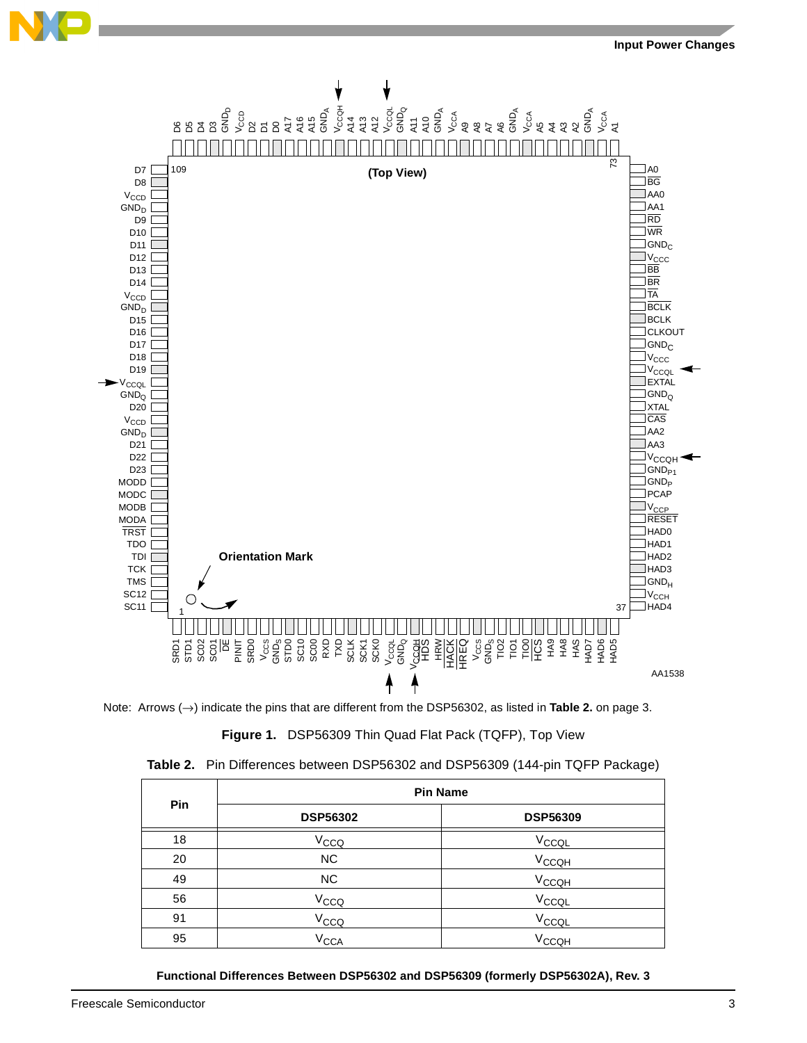

<span id="page-2-1"></span><span id="page-2-0"></span>Note: Arrows (→) indicate the pins that are different from the DSP56302, as listed in **Table 2.** [on page 3.](#page-2-1)

|  | Figure 1. DSP56309 Thin Quad Flat Pack (TQFP), Top View |  |  |  |  |  |
|--|---------------------------------------------------------|--|--|--|--|--|
|--|---------------------------------------------------------|--|--|--|--|--|

|                                                                                                                 |                                                                               | AA1                             |  |  |  |  |  |
|-----------------------------------------------------------------------------------------------------------------|-------------------------------------------------------------------------------|---------------------------------|--|--|--|--|--|
|                                                                                                                 |                                                                               |                                 |  |  |  |  |  |
| Arrows $(\rightarrow)$ indicate the pins that are different from the DSP56302, as listed in Table 2. on page 3. |                                                                               |                                 |  |  |  |  |  |
| <b>Figure 1.</b> DSP56309 Thin Quad Flat Pack (TQFP), Top View                                                  |                                                                               |                                 |  |  |  |  |  |
|                                                                                                                 |                                                                               |                                 |  |  |  |  |  |
|                                                                                                                 | Table 2. Pin Differences between DSP56302 and DSP56309 (144-pin TQFP Package) |                                 |  |  |  |  |  |
| <b>Pin Name</b>                                                                                                 |                                                                               |                                 |  |  |  |  |  |
|                                                                                                                 |                                                                               |                                 |  |  |  |  |  |
| <b>Pin</b>                                                                                                      | <b>DSP56302</b>                                                               | <b>DSP56309</b>                 |  |  |  |  |  |
| 18                                                                                                              |                                                                               | $V_{CCQL}$                      |  |  |  |  |  |
| 20                                                                                                              | $V_{CCQ}$<br>NC.                                                              |                                 |  |  |  |  |  |
| 49                                                                                                              | NC.                                                                           | $V_{CCQH}$                      |  |  |  |  |  |
| 56                                                                                                              | $V_{CCQ}$                                                                     | $V_{CCQH}$<br>V <sub>CCQL</sub> |  |  |  |  |  |
| 91                                                                                                              | V <sub>CCQ</sub>                                                              | V <sub>CCQL</sub>               |  |  |  |  |  |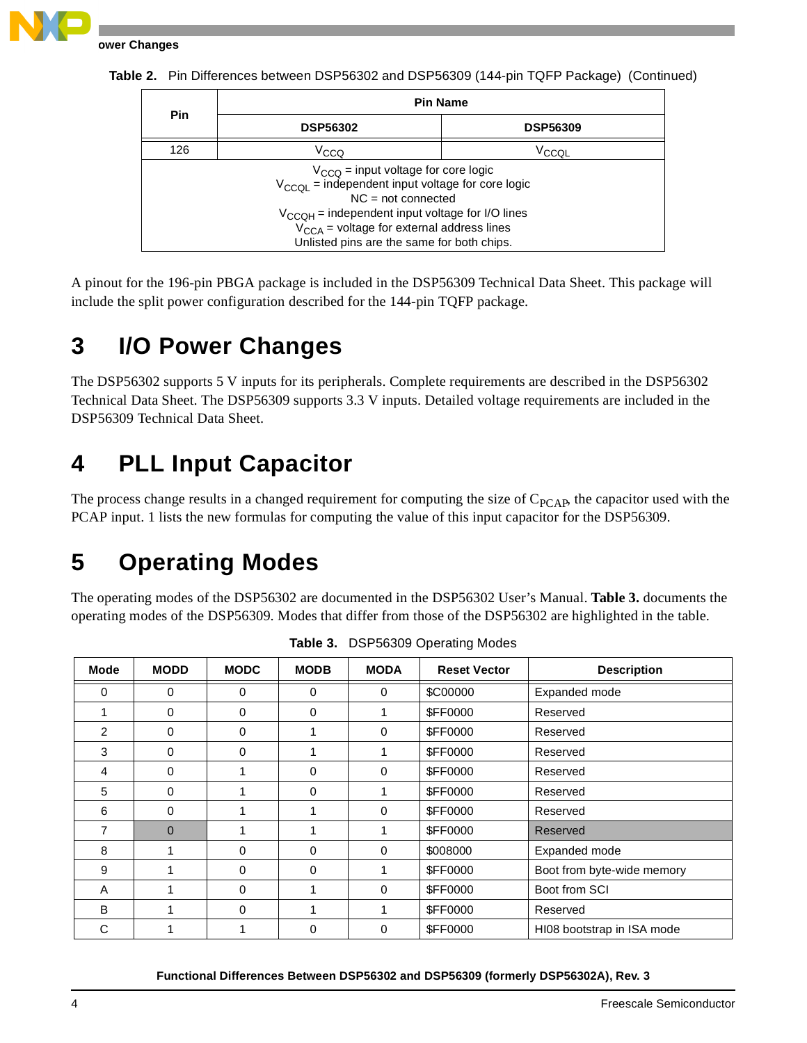

**Table 2.** Pin Differences between DSP56302 and DSP56309 (144-pin TQFP Package) (Continued)

| <b>Pin</b> | <b>Pin Name</b>                                                                                                                                                                                                                                                                          |                 |  |  |  |  |
|------------|------------------------------------------------------------------------------------------------------------------------------------------------------------------------------------------------------------------------------------------------------------------------------------------|-----------------|--|--|--|--|
|            | <b>DSP56302</b>                                                                                                                                                                                                                                                                          | <b>DSP56309</b> |  |  |  |  |
| 126        | V <sub>CCQ</sub>                                                                                                                                                                                                                                                                         | $V_{\rm CCQL}$  |  |  |  |  |
|            | $V_{CCO}$ = input voltage for core logic<br>$V_{CCOI}$ = independent input voltage for core logic<br>$NC = not connected$<br>$V_{CCOH}$ = independent input voltage for I/O lines<br>$V_{\text{CCA}}$ = voltage for external address lines<br>Unlisted pins are the same for both chips. |                 |  |  |  |  |

A pinout for the 196-pin PBGA package is included in the DSP56309 Technical Data Sheet. This package will include the split power configuration described for the 144-pin TQFP package.

# **3 I/O Power Changes**

The DSP56302 supports 5 V inputs for its peripherals. Complete requirements are described in the DSP56302 Technical Data Sheet. The DSP56309 supports 3.3 V inputs. Detailed voltage requirements are included in the DSP56309 Technical Data Sheet.

# **4 PLL Input Capacitor**

The process change results in a changed requirement for computing the size of  $C_{PCAP}$ , the capacitor used with the PCAP input. [1](#page-1-0) lists the new formulas for computing the value of this input capacitor for the DSP56309.

# **5 Operating Modes**

The operating modes of the DSP56302 are documented in the DSP56302 User's Manual. **[Table 3.](#page-3-0)** documents the operating modes of the DSP56309. Modes that differ from those of the DSP56302 are highlighted in the table.

<span id="page-3-0"></span>

| Mode     | <b>MODD</b> | <b>MODC</b> | <b>MODB</b> | <b>MODA</b> | <b>Reset Vector</b> | <b>Description</b>         |
|----------|-------------|-------------|-------------|-------------|---------------------|----------------------------|
| $\Omega$ | 0           | 0           | 0           | 0           | \$C00000            | Expanded mode              |
|          | $\Omega$    | 0           | 0           |             | <b>\$FF0000</b>     | Reserved                   |
| 2        | 0           | 0           |             | 0           | <b>\$FF0000</b>     | Reserved                   |
| 3        | 0           | 0           |             |             | <b>\$FF0000</b>     | Reserved                   |
| 4        | $\Omega$    |             | 0           | 0           | <b>\$FF0000</b>     | Reserved                   |
| 5        | $\Omega$    |             | 0           |             | <b>\$FF0000</b>     | Reserved                   |
| 6        | $\Omega$    |             |             | 0           | <b>\$FF0000</b>     | Reserved                   |
| 7        | $\Omega$    |             |             |             | <b>\$FF0000</b>     | Reserved                   |
| 8        |             | 0           | 0           | 0           | \$008000            | Expanded mode              |
| 9        |             | 0           | 0           |             | <b>\$FF0000</b>     | Boot from byte-wide memory |
| A        |             | 0           |             | 0           | <b>\$FF0000</b>     | Boot from SCI              |
| B        |             | 0           |             |             | <b>\$FF0000</b>     | Reserved                   |
| С        |             |             | 0           | 0           | <b>\$FF0000</b>     | HI08 bootstrap in ISA mode |

**Table 3.** DSP56309 Operating Modes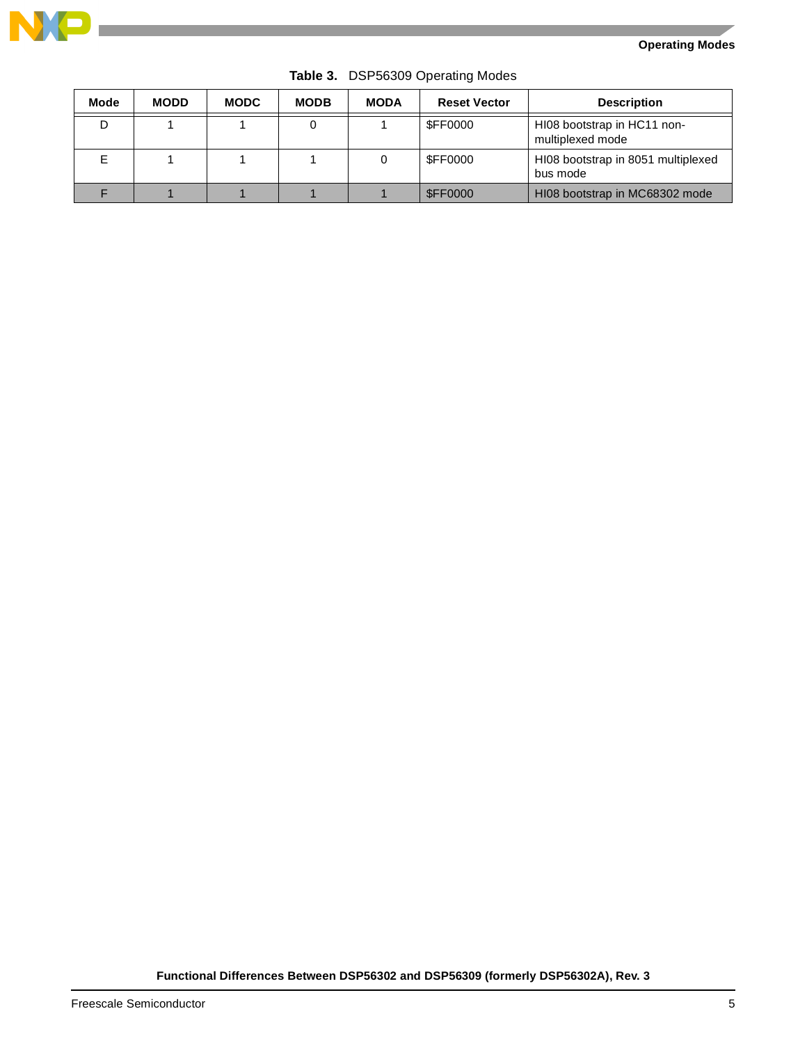

### **Operating Modes**

| <b>Mode</b> | <b>MODD</b> | <b>MODC</b> | <b>MODB</b> | <b>MODA</b> | <b>Reset Vector</b> | <b>Description</b>                              |
|-------------|-------------|-------------|-------------|-------------|---------------------|-------------------------------------------------|
| D           |             |             |             |             | \$FF0000            | HI08 bootstrap in HC11 non-<br>multiplexed mode |
|             |             |             |             |             | \$FF0000            | HI08 bootstrap in 8051 multiplexed<br>bus mode  |
|             |             |             |             |             | <b>\$FF0000</b>     | HI08 bootstrap in MC68302 mode                  |

**Table 3.** DSP56309 Operating Modes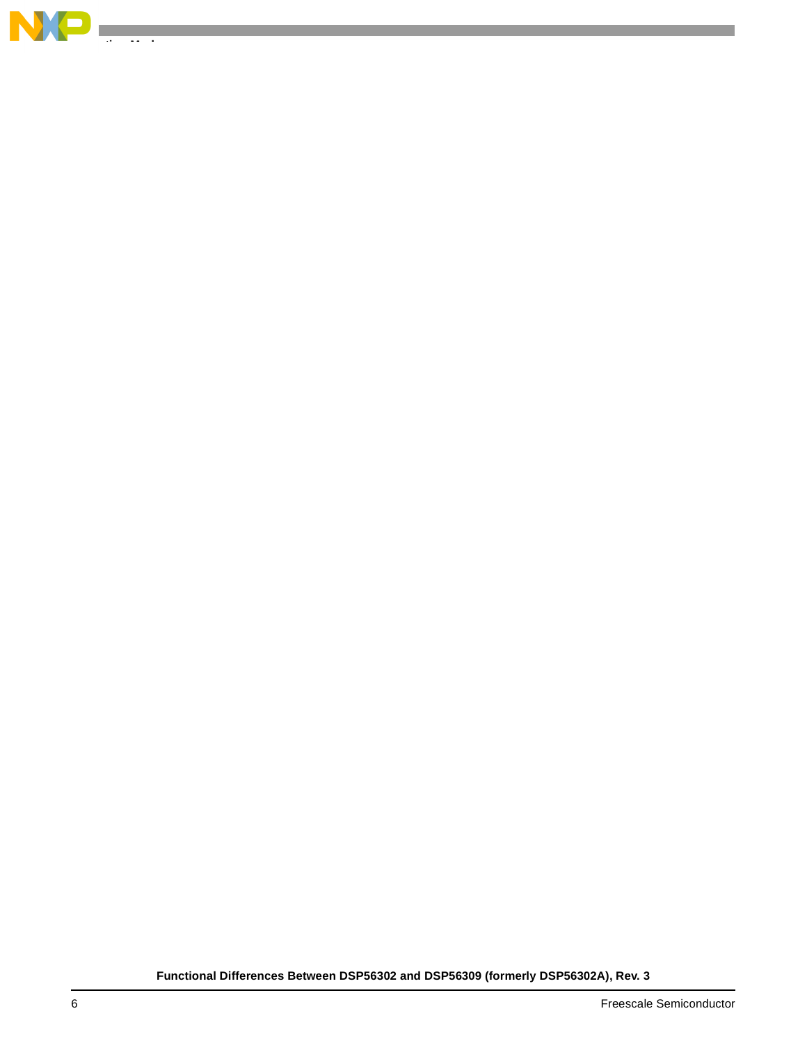

**Functional Differences Between DSP56302 and DSP56309 (formerly DSP56302A), Rev. 3**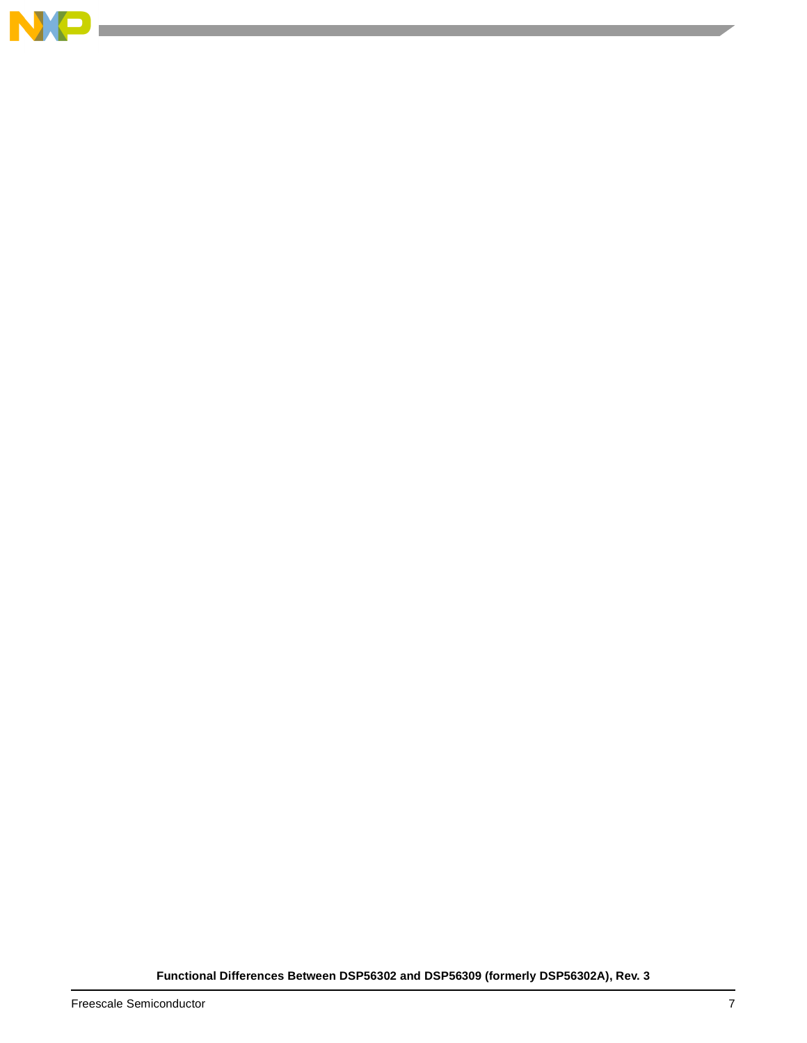

the control of the control of the control of the control of the control of